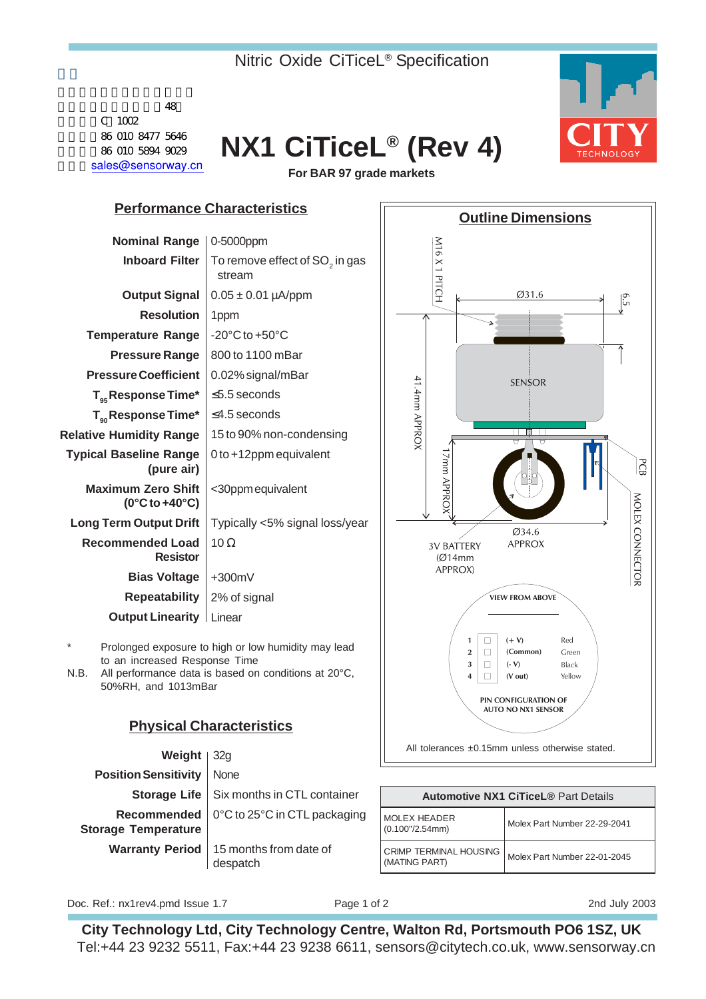## Nitric Oxide CiTiceL® Specification



| <u>vveigilt</u>             | ⊍∠∪                                                         |                                             |                              |
|-----------------------------|-------------------------------------------------------------|---------------------------------------------|------------------------------|
| <b>Position Sensitivity</b> | None                                                        |                                             |                              |
|                             | <b>Storage Life</b>   Six months in CTL container           | <b>Automotive NX1 CiTiceL® Part Details</b> |                              |
| <b>Storage Temperature</b>  | Recommended   0°C to 25°C in CTL packaging                  | MOLEX HEADER<br>$(0.100$ "/2.54mm)          | Molex Part Number 22-29-2041 |
|                             | <b>Warranty Period</b>   15 months from date of<br>despatch | CRIMP TERMINAL HOUSING<br>(MATING PART)     | Molex Part Number 22-01-2045 |

Doc. Ref.: nx1rev4.pmd Issue 1.7 Page 1 of 2 Page 1 of 2 2nd July 2003

**City Technology Ltd, City Technology Centre, Walton Rd, Portsmouth PO6 1SZ, UK** Tel:+44 23 9232 5511, Fax:+44 23 9238 6611, sensors@citytech.co.uk, www.sensorway.cn